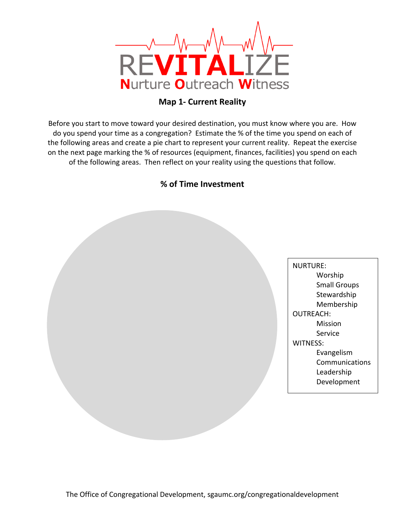

## **Map 1- Current Reality**

Before you start to move toward your desired destination, you must know where you are. How do you spend your time as a congregation? Estimate the % of the time you spend on each of the following areas and create a pie chart to represent your current reality. Repeat the exercise on the next page marking the % of resources (equipment, finances, facilities) you spend on each of the following areas. Then reflect on your reality using the questions that follow.

## **% of Time Investment**

NURTURE: Worship Small Groups Stewardship Membership OUTREACH: Mission Service WITNESS: Evangelism **Communications** Leadership Development